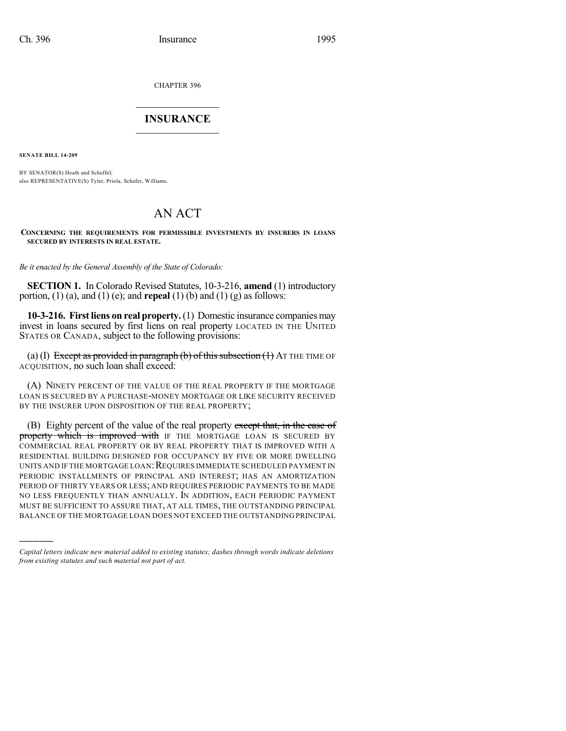CHAPTER 396

## $\overline{\phantom{a}}$  . The set of the set of the set of the set of the set of the set of the set of the set of the set of the set of the set of the set of the set of the set of the set of the set of the set of the set of the set o **INSURANCE**  $\frac{1}{2}$  ,  $\frac{1}{2}$  ,  $\frac{1}{2}$  ,  $\frac{1}{2}$  ,  $\frac{1}{2}$  ,  $\frac{1}{2}$  ,  $\frac{1}{2}$

**SENATE BILL 14-209**

)))))

BY SENATOR(S) Heath and Scheffel; also REPRESENTATIVE(S) Tyler, Priola, Schafer, Williams.

## AN ACT

**CONCERNING THE REQUIREMENTS FOR PERMISSIBLE INVESTMENTS BY INSURERS IN LOANS SECURED BY INTERESTS IN REAL ESTATE.**

*Be it enacted by the General Assembly of the State of Colorado:*

**SECTION 1.** In Colorado Revised Statutes, 10-3-216, **amend** (1) introductory portion,  $(1)$  (a), and  $(1)$  (e); and **repeal**  $(1)$  (b) and  $(1)$  (g) as follows:

**10-3-216. First liens on real property.** (1) Domestic insurance companies may invest in loans secured by first liens on real property LOCATED IN THE UNITED STATES OR CANADA, subject to the following provisions:

(a) (I) Except as provided in paragraph (b) of this subsection  $(1)$  AT THE TIME OF ACQUISITION, no such loan shall exceed:

(A) NINETY PERCENT OF THE VALUE OF THE REAL PROPERTY IF THE MORTGAGE LOAN IS SECURED BY A PURCHASE-MONEY MORTGAGE OR LIKE SECURITY RECEIVED BY THE INSURER UPON DISPOSITION OF THE REAL PROPERTY;

(B) Eighty percent of the value of the real property except that, in the case of property which is improved with IF THE MORTGAGE LOAN IS SECURED BY COMMERCIAL REAL PROPERTY OR BY REAL PROPERTY THAT IS IMPROVED WITH A RESIDENTIAL BUILDING DESIGNED FOR OCCUPANCY BY FIVE OR MORE DWELLING UNITS AND IF THE MORTGAGE LOAN: REQUIRES IMMEDIATE SCHEDULED PAYMENT IN PERIODIC INSTALLMENTS OF PRINCIPAL AND INTEREST; HAS AN AMORTIZATION PERIOD OF THIRTY YEARS OR LESS; AND REQUIRES PERIODIC PAYMENTS TO BE MADE NO LESS FREQUENTLY THAN ANNUALLY. IN ADDITION, EACH PERIODIC PAYMENT MUST BE SUFFICIENT TO ASSURE THAT, AT ALL TIMES, THE OUTSTANDING PRINCIPAL BALANCE OF THE MORTGAGE LOAN DOES NOT EXCEED THE OUTSTANDING PRINCIPAL

*Capital letters indicate new material added to existing statutes; dashes through words indicate deletions from existing statutes and such material not part of act.*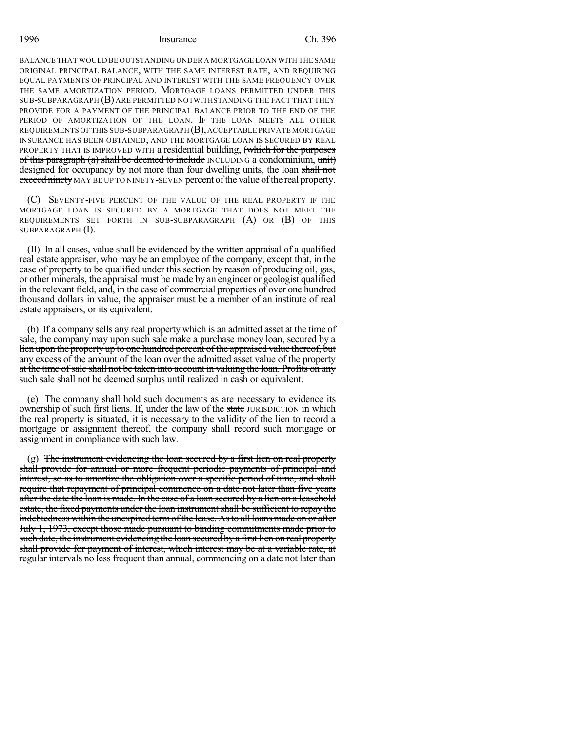## 1996 Insurance Ch. 396

BALANCE THAT WOULD BE OUTSTANDING UNDER A MORTGAGE LOAN WITH THE SAME ORIGINAL PRINCIPAL BALANCE, WITH THE SAME INTEREST RATE, AND REQUIRING EQUAL PAYMENTS OF PRINCIPAL AND INTEREST WITH THE SAME FREQUENCY OVER THE SAME AMORTIZATION PERIOD. MORTGAGE LOANS PERMITTED UNDER THIS SUB-SUBPARAGRAPH (B) ARE PERMITTED NOTWITHSTANDING THE FACT THAT THEY PROVIDE FOR A PAYMENT OF THE PRINCIPAL BALANCE PRIOR TO THE END OF THE PERIOD OF AMORTIZATION OF THE LOAN. IF THE LOAN MEETS ALL OTHER REQUIREMENTS OF THIS SUB-SUBPARAGRAPH (B),ACCEPTABLE PRIVATE MORTGAGE INSURANCE HAS BEEN OBTAINED, AND THE MORTGAGE LOAN IS SECURED BY REAL PROPERTY THAT IS IMPROVED WITH a residential building, (which for the purposes of this paragraph (a) shall be deemed to include INCLUDING a condominium, unit) designed for occupancy by not more than four dwelling units, the loan shall not exceed ninety MAY BE UP TO NINETY-SEVEN percent of the value of the real property.

(C) SEVENTY-FIVE PERCENT OF THE VALUE OF THE REAL PROPERTY IF THE MORTGAGE LOAN IS SECURED BY A MORTGAGE THAT DOES NOT MEET THE REQUIREMENTS SET FORTH IN SUB-SUBPARAGRAPH (A) OR (B) OF THIS SUBPARAGRAPH (I).

(II) In all cases, value shall be evidenced by the written appraisal of a qualified real estate appraiser, who may be an employee of the company; except that, in the case of property to be qualified under this section by reason of producing oil, gas, or other minerals, the appraisal must be made by an engineer or geologist qualified in the relevant field, and, in the case of commercial properties of over one hundred thousand dollars in value, the appraiser must be a member of an institute of real estate appraisers, or its equivalent.

(b) If a company sells any real property which is an admitted asset at the time of sale, the company may upon such sale make a purchase money loan, secured by a lien upon the property up to one hundred percent of the appraised value thereof, but any excess of the amount of the loan over the admitted asset value of the property at the time of sale shall not be taken into account in valuing the loan. Profits on any such sale shall not be deemed surplus until realized in cash or equivalent.

(e) The company shall hold such documents as are necessary to evidence its ownership of such first liens. If, under the law of the state JURISDICTION in which the real property is situated, it is necessary to the validity of the lien to record a mortgage or assignment thereof, the company shall record such mortgage or assignment in compliance with such law.

(g) The instrument evidencing the loan secured by a first lien on real property shall provide for annual or more frequent periodic payments of principal and interest, so as to amortize the obligation over a specific period of time, and shall require that repayment of principal commence on a date not later than five years after the date the loan is made. In the case of a loan secured by a lien on a leasehold estate, the fixed payments under the loan instrument shall be sufficient to repay the indebtedness within the unexpired term of the lease. As to all loans made on or after July 1, 1973, except those made pursuant to binding commitments made prior to such date, the instrument evidencing the loan secured by a first lien on real property shall provide for payment of interest, which interest may be at a variable rate, at regular intervals no less frequent than annual, commencing on a date not later than